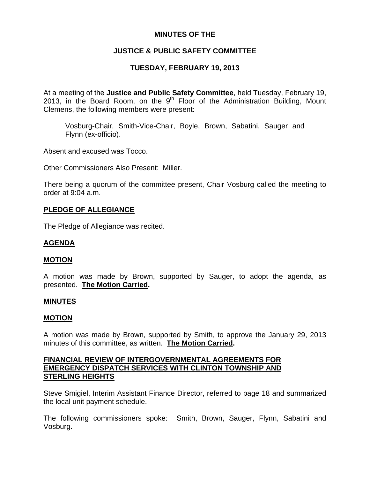# **MINUTES OF THE**

# **JUSTICE & PUBLIC SAFETY COMMITTEE**

# **TUESDAY, FEBRUARY 19, 2013**

At a meeting of the **Justice and Public Safety Committee**, held Tuesday, February 19, 2013, in the Board Room, on the  $9<sup>th</sup>$  Floor of the Administration Building, Mount Clemens, the following members were present:

Vosburg-Chair, Smith-Vice-Chair, Boyle, Brown, Sabatini, Sauger and Flynn (ex-officio).

Absent and excused was Tocco.

Other Commissioners Also Present: Miller.

There being a quorum of the committee present, Chair Vosburg called the meeting to order at 9:04 a.m.

## **PLEDGE OF ALLEGIANCE**

The Pledge of Allegiance was recited.

## **AGENDA**

#### **MOTION**

A motion was made by Brown, supported by Sauger, to adopt the agenda, as presented. **The Motion Carried.** 

#### **MINUTES**

#### **MOTION**

A motion was made by Brown, supported by Smith, to approve the January 29, 2013 minutes of this committee, as written. **The Motion Carried.** 

## **FINANCIAL REVIEW OF INTERGOVERNMENTAL AGREEMENTS FOR EMERGENCY DISPATCH SERVICES WITH CLINTON TOWNSHIP AND STERLING HEIGHTS**

Steve Smigiel, Interim Assistant Finance Director, referred to page 18 and summarized the local unit payment schedule.

The following commissioners spoke: Smith, Brown, Sauger, Flynn, Sabatini and Vosburg.